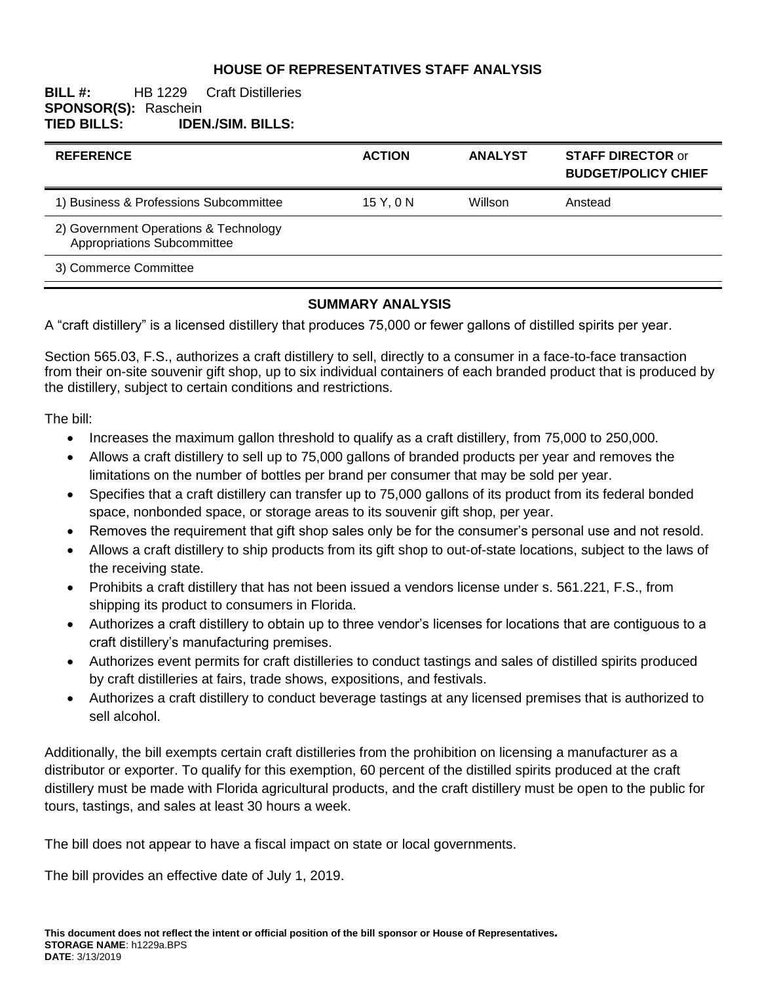### **HOUSE OF REPRESENTATIVES STAFF ANALYSIS**

### **BILL #:** HB 1229 Craft Distilleries **SPONSOR(S): Raschein<br>TIED BILLS: IDEI TIED BILLS: IDEN./SIM. BILLS:**

| <b>REFERENCE</b>                                                     | <b>ACTION</b> | <b>ANALYST</b> | <b>STAFF DIRECTOR or</b><br><b>BUDGET/POLICY CHIEF</b> |
|----------------------------------------------------------------------|---------------|----------------|--------------------------------------------------------|
| 1) Business & Professions Subcommittee                               | 15 Y, 0 N     | <b>Willson</b> | Anstead                                                |
| 2) Government Operations & Technology<br>Appropriations Subcommittee |               |                |                                                        |
| 3) Commerce Committee                                                |               |                |                                                        |

#### **SUMMARY ANALYSIS**

A "craft distillery" is a licensed distillery that produces 75,000 or fewer gallons of distilled spirits per year.

Section 565.03, F.S., authorizes a craft distillery to sell, directly to a consumer in a face-to-face transaction from their on-site souvenir gift shop, up to six individual containers of each branded product that is produced by the distillery, subject to certain conditions and restrictions.

The bill:

- Increases the maximum gallon threshold to qualify as a craft distillery, from 75,000 to 250,000.
- Allows a craft distillery to sell up to 75,000 gallons of branded products per year and removes the limitations on the number of bottles per brand per consumer that may be sold per year.
- Specifies that a craft distillery can transfer up to 75,000 gallons of its product from its federal bonded space, nonbonded space, or storage areas to its souvenir gift shop, per year.
- Removes the requirement that gift shop sales only be for the consumer's personal use and not resold.
- Allows a craft distillery to ship products from its gift shop to out-of-state locations, subject to the laws of the receiving state.
- Prohibits a craft distillery that has not been issued a vendors license under s. 561.221, F.S., from shipping its product to consumers in Florida.
- Authorizes a craft distillery to obtain up to three vendor's licenses for locations that are contiguous to a craft distillery's manufacturing premises.
- Authorizes event permits for craft distilleries to conduct tastings and sales of distilled spirits produced by craft distilleries at fairs, trade shows, expositions, and festivals.
- Authorizes a craft distillery to conduct beverage tastings at any licensed premises that is authorized to sell alcohol.

Additionally, the bill exempts certain craft distilleries from the prohibition on licensing a manufacturer as a distributor or exporter. To qualify for this exemption, 60 percent of the distilled spirits produced at the craft distillery must be made with Florida agricultural products, and the craft distillery must be open to the public for tours, tastings, and sales at least 30 hours a week.

The bill does not appear to have a fiscal impact on state or local governments.

The bill provides an effective date of July 1, 2019.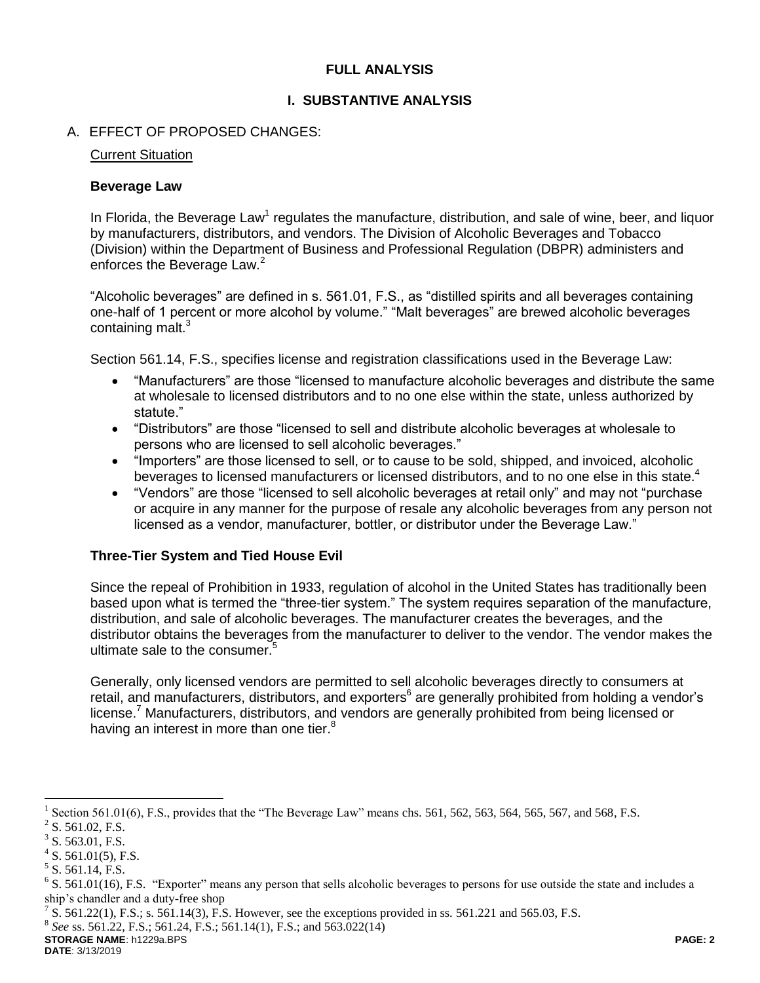### **FULL ANALYSIS**

### **I. SUBSTANTIVE ANALYSIS**

### A. EFFECT OF PROPOSED CHANGES:

#### Current Situation

#### **Beverage Law**

In Florida, the Beverage Law<sup>1</sup> regulates the manufacture, distribution, and sale of wine, beer, and liquor by manufacturers, distributors, and vendors. The Division of Alcoholic Beverages and Tobacco (Division) within the Department of Business and Professional Regulation (DBPR) administers and enforces the Beverage Law.<sup>2</sup>

"Alcoholic beverages" are defined in s. 561.01, F.S., as "distilled spirits and all beverages containing one-half of 1 percent or more alcohol by volume." "Malt beverages" are brewed alcoholic beverages containing malt.<sup>3</sup>

Section 561.14, F.S., specifies license and registration classifications used in the Beverage Law:

- "Manufacturers" are those "licensed to manufacture alcoholic beverages and distribute the same at wholesale to licensed distributors and to no one else within the state, unless authorized by statute."
- "Distributors" are those "licensed to sell and distribute alcoholic beverages at wholesale to persons who are licensed to sell alcoholic beverages."
- "Importers" are those licensed to sell, or to cause to be sold, shipped, and invoiced, alcoholic beverages to licensed manufacturers or licensed distributors, and to no one else in this state.<sup>4</sup>
- "Vendors" are those "licensed to sell alcoholic beverages at retail only" and may not "purchase or acquire in any manner for the purpose of resale any alcoholic beverages from any person not licensed as a vendor, manufacturer, bottler, or distributor under the Beverage Law."

#### **Three-Tier System and Tied House Evil**

Since the repeal of Prohibition in 1933, regulation of alcohol in the United States has traditionally been based upon what is termed the "three-tier system." The system requires separation of the manufacture, distribution, and sale of alcoholic beverages. The manufacturer creates the beverages, and the distributor obtains the beverages from the manufacturer to deliver to the vendor. The vendor makes the ultimate sale to the consumer.<sup>5</sup>

Generally, only licensed vendors are permitted to sell alcoholic beverages directly to consumers at retail, and manufacturers, distributors, and exporters<sup>6</sup> are generally prohibited from holding a vendor's license.<sup>7</sup> Manufacturers, distributors, and vendors are generally prohibited from being licensed or having an interest in more than one tier.<sup>8</sup>

 $\overline{a}$ 

**STORAGE NAME**: h1229a.BPS **PAGE: 2 DATE**: 3/13/2019

<sup>1</sup> Section 561.01(6), F.S., provides that the "The Beverage Law" means chs. 561, 562, 563, 564, 565, 567, and 568, F.S.

 $2^2$  S. 561.02, F.S.

 $3$  S. 563.01, F.S.

 $4$  S. 561.01(5), F.S.

 $<sup>5</sup>$  S. 561.14, F.S.</sup>

 $6$  S. 561.01(16), F.S. "Exporter" means any person that sells alcoholic beverages to persons for use outside the state and includes a ship's chandler and a duty-free shop

<sup>&</sup>lt;sup>7</sup> S. 561.22(1), F.S.; s. 561.14(3), F.S. However, see the exceptions provided in ss. 561.221 and 565.03, F.S.

<sup>8</sup> *See* ss. 561.22, F.S.; 561.24, F.S.; 561.14(1), F.S.; and 563.022(14)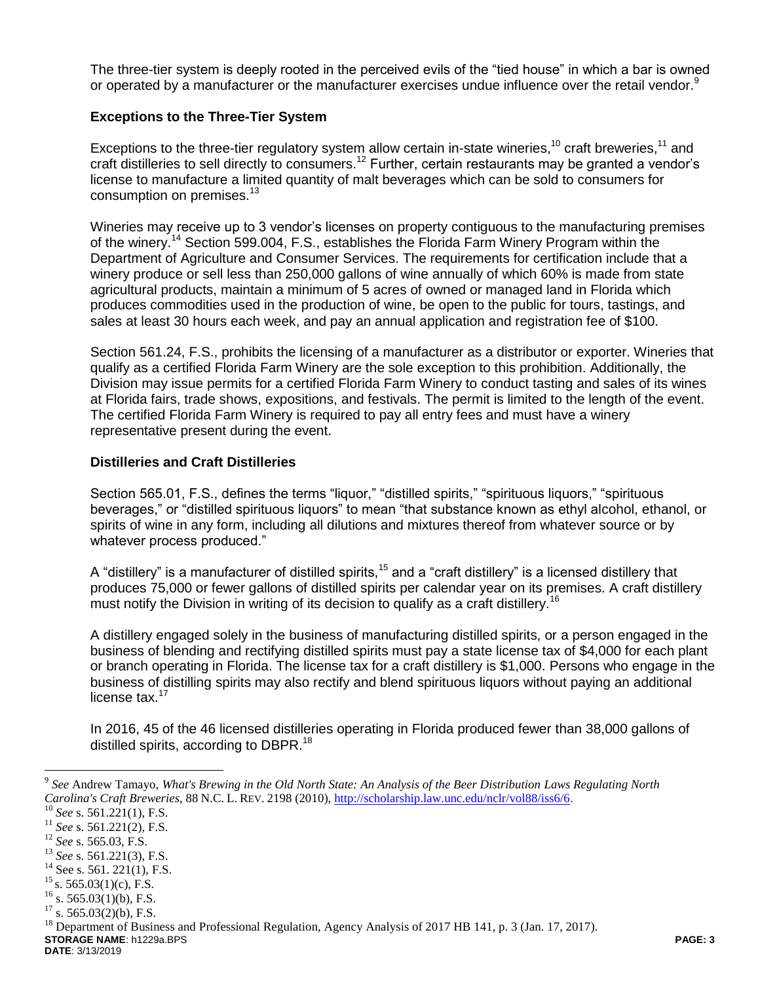The three-tier system is deeply rooted in the perceived evils of the "tied house" in which a bar is owned or operated by a manufacturer or the manufacturer exercises undue influence over the retail vendor.<sup>9</sup>

### **Exceptions to the Three-Tier System**

Exceptions to the three-tier regulatory system allow certain in-state wineries,<sup>10</sup> craft breweries,<sup>11</sup> and craft distilleries to sell directly to consumers.<sup>12</sup> Further, certain restaurants may be granted a vendor's license to manufacture a limited quantity of malt beverages which can be sold to consumers for consumption on premises.<sup>13</sup>

Wineries may receive up to 3 vendor's licenses on property contiguous to the manufacturing premises of the winery.<sup>14</sup> Section 599.004, F.S., establishes the Florida Farm Winery Program within the Department of Agriculture and Consumer Services. The requirements for certification include that a winery produce or sell less than 250,000 gallons of wine annually of which 60% is made from state agricultural products, maintain a minimum of 5 acres of owned or managed land in Florida which produces commodities used in the production of wine, be open to the public for tours, tastings, and sales at least 30 hours each week, and pay an annual application and registration fee of \$100.

Section 561.24, F.S., prohibits the licensing of a manufacturer as a distributor or exporter. Wineries that qualify as a certified Florida Farm Winery are the sole exception to this prohibition. Additionally, the Division may issue permits for a certified Florida Farm Winery to conduct tasting and sales of its wines at Florida fairs, trade shows, expositions, and festivals. The permit is limited to the length of the event. The certified Florida Farm Winery is required to pay all entry fees and must have a winery representative present during the event.

#### **Distilleries and Craft Distilleries**

Section 565.01, F.S., defines the terms "liquor," "distilled spirits," "spirituous liquors," "spirituous beverages," or "distilled spirituous liquors" to mean "that substance known as ethyl alcohol, ethanol, or spirits of wine in any form, including all dilutions and mixtures thereof from whatever source or by whatever process produced."

A "distillery" is a manufacturer of distilled spirits,<sup>15</sup> and a "craft distillery" is a licensed distillery that produces 75,000 or fewer gallons of distilled spirits per calendar year on its premises. A craft distillery must notify the Division in writing of its decision to qualify as a craft distillery.<sup>16</sup>

A distillery engaged solely in the business of manufacturing distilled spirits, or a person engaged in the business of blending and rectifying distilled spirits must pay a state license tax of \$4,000 for each plant or branch operating in Florida. The license tax for a craft distillery is \$1,000. Persons who engage in the business of distilling spirits may also rectify and blend spirituous liquors without paying an additional license tax.<sup>17</sup>

In 2016, 45 of the 46 licensed distilleries operating in Florida produced fewer than 38,000 gallons of distilled spirits, according to DBPR.<sup>18</sup>

 $\overline{a}$ 

<sup>9</sup> *See* Andrew Tamayo, *What's Brewing in the Old North State: An Analysis of the Beer Distribution Laws Regulating North Carolina's Craft Breweries*, 88 N.C. L. REV. 2198 (2010), [http://scholarship.law.unc.edu/nclr/vol88/iss6/6.](http://scholarship.law.unc.edu/nclr/vol88/iss6/6)

<sup>10</sup> *See* s. 561.221(1), F.S.

<sup>11</sup> *See* s. 561.221(2), F.S.

<sup>12</sup> *See* s. 565.03, F.S.

<sup>13</sup> *See* s. 561.221(3), F.S.

 $14$  See s. 561. 221(1), F.S.

 $15$  s. 565.03(1)(c), F.S.

 $16$  s. 565.03(1)(b), F.S.

 $17$  s. 565.03(2)(b), F.S.

**STORAGE NAME**: h1229a.BPS **PAGE: 3** <sup>18</sup> Department of Business and Professional Regulation, Agency Analysis of 2017 HB 141, p. 3 (Jan. 17, 2017).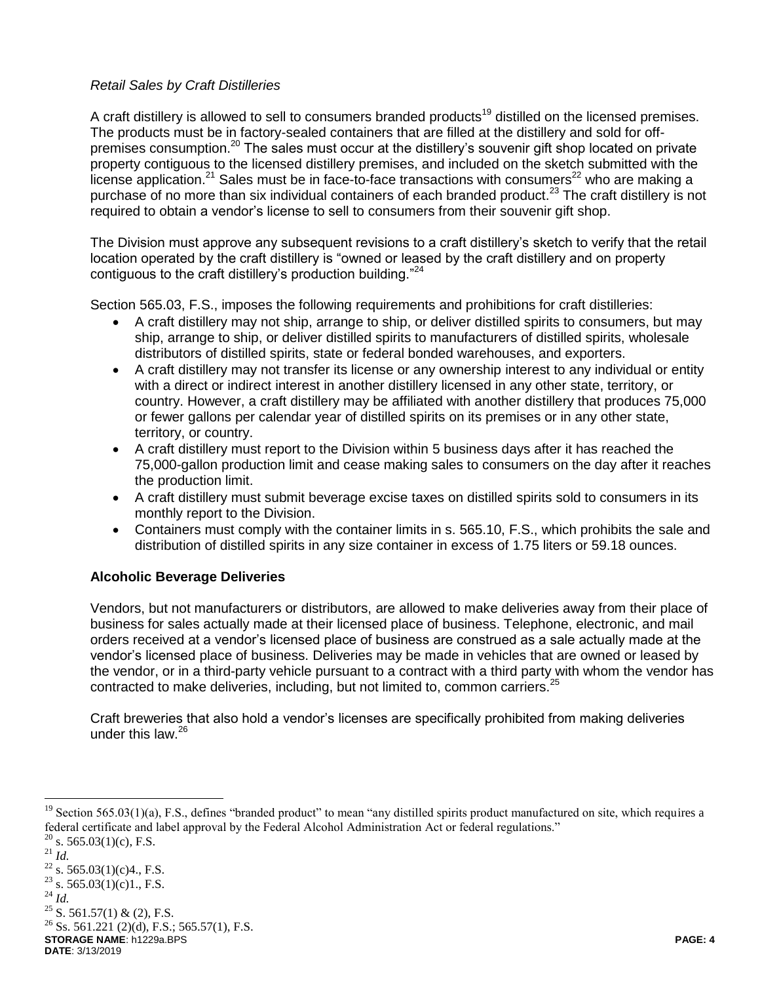### *Retail Sales by Craft Distilleries*

A craft distillery is allowed to sell to consumers branded products<sup>19</sup> distilled on the licensed premises. The products must be in factory-sealed containers that are filled at the distillery and sold for offpremises consumption.<sup>20</sup> The sales must occur at the distillery's souvenir gift shop located on private property contiguous to the licensed distillery premises, and included on the sketch submitted with the license application.<sup>21</sup> Sales must be in face-to-face transactions with consumers<sup>22</sup> who are making a purchase of no more than six individual containers of each branded product.<sup>23</sup> The craft distillery is not required to obtain a vendor's license to sell to consumers from their souvenir gift shop.

The Division must approve any subsequent revisions to a craft distillery's sketch to verify that the retail location operated by the craft distillery is "owned or leased by the craft distillery and on property contiguous to the craft distillery's production building."<sup>24</sup>

Section 565.03, F.S., imposes the following requirements and prohibitions for craft distilleries:

- A craft distillery may not ship, arrange to ship, or deliver distilled spirits to consumers, but may ship, arrange to ship, or deliver distilled spirits to manufacturers of distilled spirits, wholesale distributors of distilled spirits, state or federal bonded warehouses, and exporters.
- A craft distillery may not transfer its license or any ownership interest to any individual or entity with a direct or indirect interest in another distillery licensed in any other state, territory, or country. However, a craft distillery may be affiliated with another distillery that produces 75,000 or fewer gallons per calendar year of distilled spirits on its premises or in any other state, territory, or country.
- A craft distillery must report to the Division within 5 business days after it has reached the 75,000-gallon production limit and cease making sales to consumers on the day after it reaches the production limit.
- A craft distillery must submit beverage excise taxes on distilled spirits sold to consumers in its monthly report to the Division.
- Containers must comply with the container limits in s. 565.10, F.S., which prohibits the sale and distribution of distilled spirits in any size container in excess of 1.75 liters or 59.18 ounces.

# **Alcoholic Beverage Deliveries**

Vendors, but not manufacturers or distributors, are allowed to make deliveries away from their place of business for sales actually made at their licensed place of business. Telephone, electronic, and mail orders received at a vendor's licensed place of business are construed as a sale actually made at the vendor's licensed place of business. Deliveries may be made in vehicles that are owned or leased by the vendor, or in a third-party vehicle pursuant to a contract with a third party with whom the vendor has contracted to make deliveries, including, but not limited to, common carriers.<sup>25</sup>

Craft breweries that also hold a vendor's licenses are specifically prohibited from making deliveries under this law. $26$ 

 $\overline{a}$ 

 $25$  S. 561.57(1) & (2), F.S.

**STORAGE NAME**: h1229a.BPS **PAGE: 4**  $^{26}$  Ss. 561.221 (2)(d), F.S.; 565.57(1), F.S.

Section 565.03(1)(a), F.S., defines "branded product" to mean "any distilled spirits product manufactured on site, which requires a federal certificate and label approval by the Federal Alcohol Administration Act or federal regulations."  $20$  s. 565.03(1)(c), F.S.

<sup>21</sup> *Id.*

 $^{22}$  s. 565.03(1)(c)4., F.S. <sup>23</sup> s. 565.03(1)(c)1., F.S.

 $^{24}$  *Id.* 

**DATE**: 3/13/2019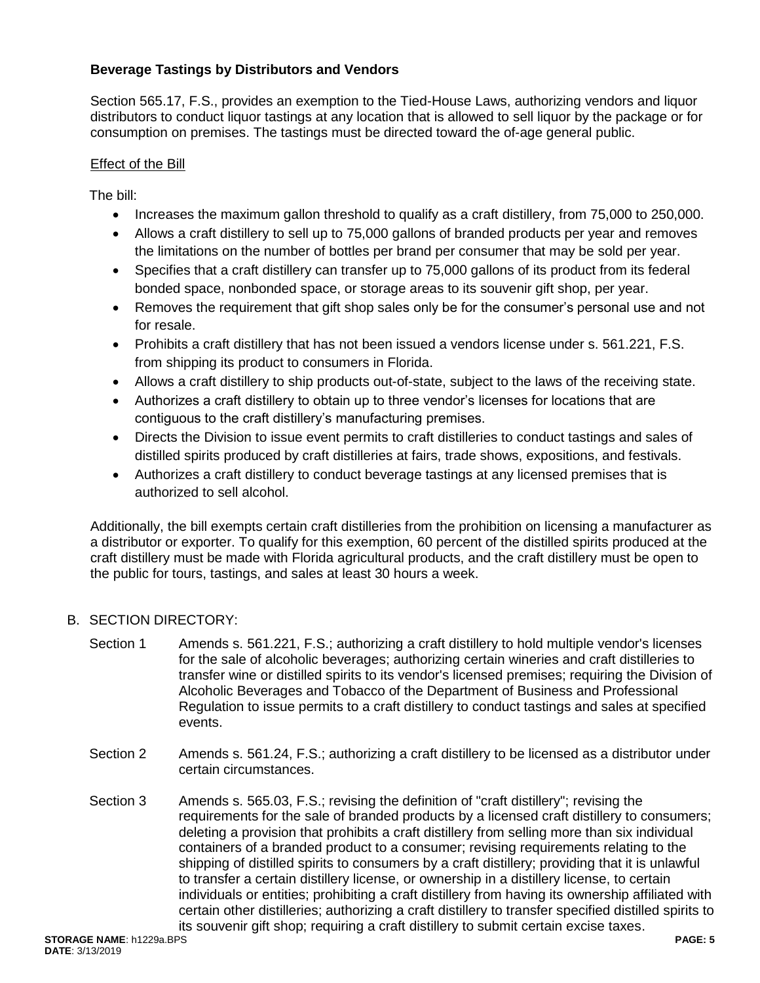### **Beverage Tastings by Distributors and Vendors**

Section 565.17, F.S., provides an exemption to the Tied-House Laws, authorizing vendors and liquor distributors to conduct liquor tastings at any location that is allowed to sell liquor by the package or for consumption on premises. The tastings must be directed toward the of-age general public.

### Effect of the Bill

The bill:

- Increases the maximum gallon threshold to qualify as a craft distillery, from 75,000 to 250,000.
- Allows a craft distillery to sell up to 75,000 gallons of branded products per year and removes the limitations on the number of bottles per brand per consumer that may be sold per year.
- Specifies that a craft distillery can transfer up to 75,000 gallons of its product from its federal bonded space, nonbonded space, or storage areas to its souvenir gift shop, per year.
- Removes the requirement that gift shop sales only be for the consumer's personal use and not for resale.
- Prohibits a craft distillery that has not been issued a vendors license under s. 561.221, F.S. from shipping its product to consumers in Florida.
- Allows a craft distillery to ship products out-of-state, subject to the laws of the receiving state.
- Authorizes a craft distillery to obtain up to three vendor's licenses for locations that are contiguous to the craft distillery's manufacturing premises.
- Directs the Division to issue event permits to craft distilleries to conduct tastings and sales of distilled spirits produced by craft distilleries at fairs, trade shows, expositions, and festivals.
- Authorizes a craft distillery to conduct beverage tastings at any licensed premises that is authorized to sell alcohol.

Additionally, the bill exempts certain craft distilleries from the prohibition on licensing a manufacturer as a distributor or exporter. To qualify for this exemption, 60 percent of the distilled spirits produced at the craft distillery must be made with Florida agricultural products, and the craft distillery must be open to the public for tours, tastings, and sales at least 30 hours a week.

# B. SECTION DIRECTORY:

- Section 1 Amends s. 561.221, F.S.; authorizing a craft distillery to hold multiple vendor's licenses for the sale of alcoholic beverages; authorizing certain wineries and craft distilleries to transfer wine or distilled spirits to its vendor's licensed premises; requiring the Division of Alcoholic Beverages and Tobacco of the Department of Business and Professional Regulation to issue permits to a craft distillery to conduct tastings and sales at specified events.
- Section 2 Amends s. 561.24, F.S.; authorizing a craft distillery to be licensed as a distributor under certain circumstances.
- Section 3 Amends s. 565.03, F.S.; revising the definition of "craft distillery"; revising the requirements for the sale of branded products by a licensed craft distillery to consumers; deleting a provision that prohibits a craft distillery from selling more than six individual containers of a branded product to a consumer; revising requirements relating to the shipping of distilled spirits to consumers by a craft distillery; providing that it is unlawful to transfer a certain distillery license, or ownership in a distillery license, to certain individuals or entities; prohibiting a craft distillery from having its ownership affiliated with certain other distilleries; authorizing a craft distillery to transfer specified distilled spirits to its souvenir gift shop; requiring a craft distillery to submit certain excise taxes.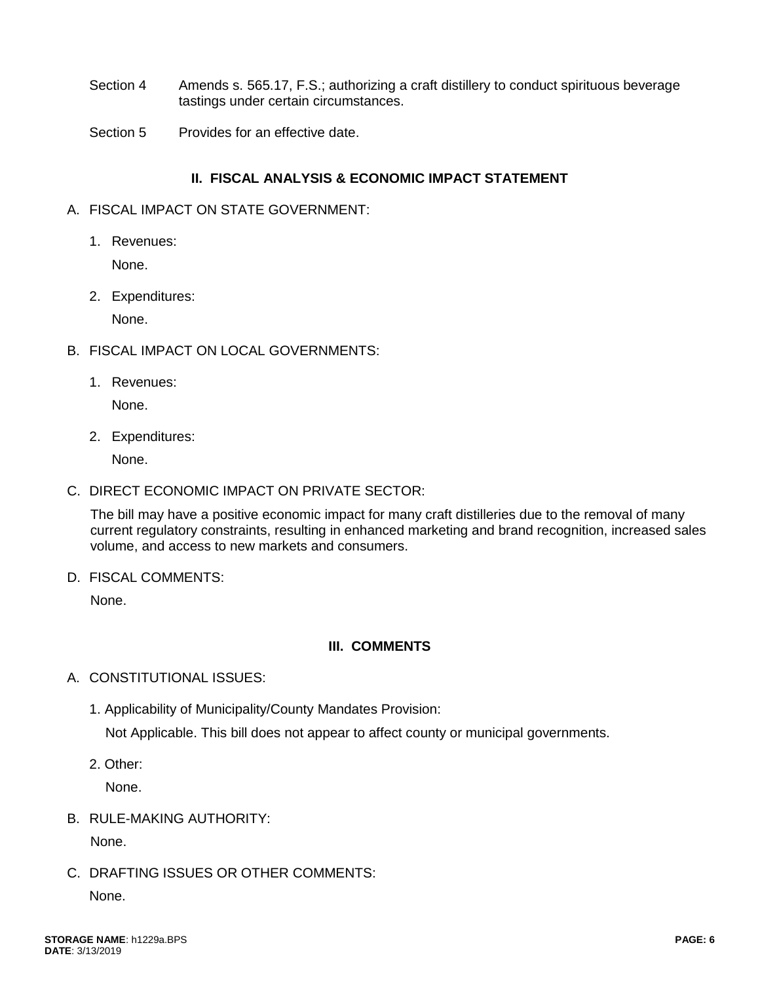- Section 4 Amends s. 565.17, F.S.; authorizing a craft distillery to conduct spirituous beverage tastings under certain circumstances.
- Section 5 Provides for an effective date.

### **II. FISCAL ANALYSIS & ECONOMIC IMPACT STATEMENT**

- A. FISCAL IMPACT ON STATE GOVERNMENT:
	- 1. Revenues:

None.

2. Expenditures:

None.

- B. FISCAL IMPACT ON LOCAL GOVERNMENTS:
	- 1. Revenues:

None.

2. Expenditures:

None.

C. DIRECT ECONOMIC IMPACT ON PRIVATE SECTOR:

The bill may have a positive economic impact for many craft distilleries due to the removal of many current regulatory constraints, resulting in enhanced marketing and brand recognition, increased sales volume, and access to new markets and consumers.

D. FISCAL COMMENTS:

None.

### **III. COMMENTS**

- A. CONSTITUTIONAL ISSUES:
	- 1. Applicability of Municipality/County Mandates Provision:

Not Applicable. This bill does not appear to affect county or municipal governments.

2. Other:

None.

B. RULE-MAKING AUTHORITY:

None.

C. DRAFTING ISSUES OR OTHER COMMENTS:

None.